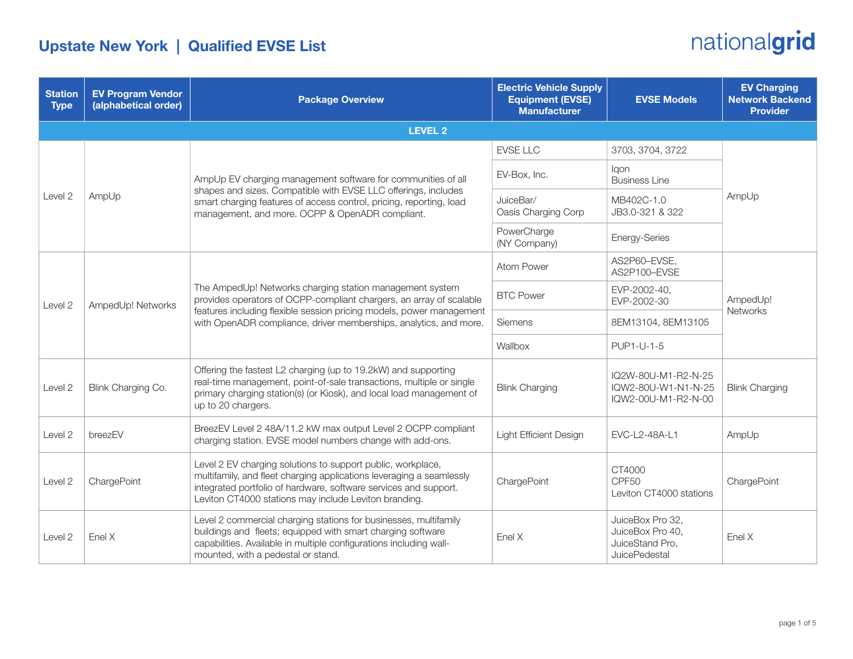#### Upstate New York | Qualified EVSE List

| <b>Station</b><br><b>Type</b> | <b>EV Program Vendor</b><br>(alphabetical order) | <b>Package Overview</b>                                                                                                                                                                                                                                                      | <b>Electric Vehicle Supply</b><br><b>Equipment (EVSE)</b><br><b>Manufacturer</b> | <b>EVSE Models</b>                                                       | <b>EV Charging</b><br><b>Network Backend</b><br><b>Provider</b> |  |
|-------------------------------|--------------------------------------------------|------------------------------------------------------------------------------------------------------------------------------------------------------------------------------------------------------------------------------------------------------------------------------|----------------------------------------------------------------------------------|--------------------------------------------------------------------------|-----------------------------------------------------------------|--|
| <b>LEVEL 2</b>                |                                                  |                                                                                                                                                                                                                                                                              |                                                                                  |                                                                          |                                                                 |  |
| Level 2                       | AmpUp                                            | AmpUp EV charging management software for communities of all<br>shapes and sizes. Compatible with EVSE LLC offerings, includes<br>smart charging features of access control, pricing, reporting, load<br>management, and more. OCPP & OpenADR compliant.                     | <b>EVSE LLC</b>                                                                  | 3703, 3704, 3722                                                         | AmpUp                                                           |  |
|                               |                                                  |                                                                                                                                                                                                                                                                              | EV-Box, Inc.                                                                     | lgon<br><b>Business Line</b>                                             |                                                                 |  |
|                               |                                                  |                                                                                                                                                                                                                                                                              | JuiceBar/<br>Oasis Charging Corp                                                 | MB402C-1.0<br>JB3.0-321 & 322                                            |                                                                 |  |
|                               |                                                  |                                                                                                                                                                                                                                                                              | PowerCharge<br>(NY Company)                                                      | Energy-Series                                                            |                                                                 |  |
| Level 2                       | AmpedUp! Networks                                | The AmpedUp! Networks charging station management system<br>provides operators of OCPP-compliant chargers, an array of scalable<br>features including flexible session pricing models, power management<br>with OpenADR compliance, driver memberships, analytics, and more. | Atom Power                                                                       | AS2P60-EVSE,<br>AS2P100-EVSE                                             | AmpedUp!<br>Networks                                            |  |
|                               |                                                  |                                                                                                                                                                                                                                                                              | <b>BTC Power</b>                                                                 | EVP-2002-40,<br>EVP-2002-30                                              |                                                                 |  |
|                               |                                                  |                                                                                                                                                                                                                                                                              | Siemens                                                                          | 8EM13104, 8EM13105                                                       |                                                                 |  |
|                               |                                                  |                                                                                                                                                                                                                                                                              | Wallbox                                                                          | PUP1-U-1-5                                                               |                                                                 |  |
| Level 2                       | Blink Charging Co.                               | Offering the fastest L2 charging (up to 19.2kW) and supporting<br>real-time management, point-of-sale transactions, multiple or single<br>primary charging station(s) (or Kiosk), and local load management of<br>up to 20 chargers.                                         | <b>Blink Charging</b>                                                            | IQ2W-80U-M1-R2-N-25<br>IQW2-80U-W1-N1-N-25<br>IQW2-00U-M1-R2-N-00        | <b>Blink Charging</b>                                           |  |
| Level 2                       | breezEV                                          | BreezEV Level 2 48A/11.2 kW max output Level 2 OCPP compliant<br>charging station. EVSE model numbers change with add-ons.                                                                                                                                                   | <b>Light Efficient Design</b>                                                    | EVC-L2-48A-L1                                                            | AmpUp                                                           |  |
| Level 2                       | ChargePoint                                      | Level 2 EV charging solutions to support public, workplace,<br>multifamily, and fleet charging applications leveraging a seamlessly<br>integrated portfolio of hardware, software services and support.<br>Leviton CT4000 stations may include Leviton branding.             | ChargePoint                                                                      | CT4000<br>CPF <sub>50</sub><br>Leviton CT4000 stations                   | ChargePoint                                                     |  |
| Level 2                       | Enel X                                           | Level 2 commercial charging stations for businesses, multifamily<br>buildings and fleets; equipped with smart charging software<br>capabilities. Available in multiple configurations including wall-<br>mounted, with a pedestal or stand.                                  | Enel X                                                                           | JuiceBox Pro 32,<br>JuiceBox Pro 40,<br>JuiceStand Pro,<br>JuicePedestal | Enel X                                                          |  |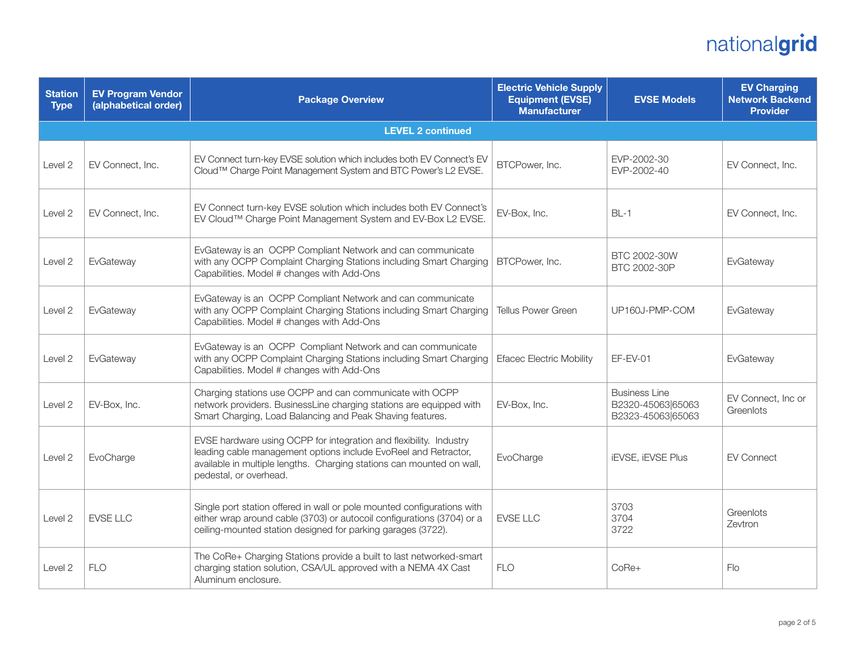| <b>Station</b><br><b>Type</b> | <b>EV Program Vendor</b><br>(alphabetical order) | <b>Package Overview</b>                                                                                                                                                                                                                  | <b>Electric Vehicle Supply</b><br><b>Equipment (EVSE)</b><br><b>Manufacturer</b> | <b>EVSE Models</b>                                             | <b>EV Charging</b><br><b>Network Backend</b><br><b>Provider</b> |
|-------------------------------|--------------------------------------------------|------------------------------------------------------------------------------------------------------------------------------------------------------------------------------------------------------------------------------------------|----------------------------------------------------------------------------------|----------------------------------------------------------------|-----------------------------------------------------------------|
|                               |                                                  | <b>LEVEL 2 continued</b>                                                                                                                                                                                                                 |                                                                                  |                                                                |                                                                 |
| Level 2                       | EV Connect, Inc.                                 | EV Connect turn-key EVSE solution which includes both EV Connect's EV<br>Cloud™ Charge Point Management System and BTC Power's L2 EVSE.                                                                                                  | BTCPower, Inc.                                                                   | EVP-2002-30<br>EVP-2002-40                                     | EV Connect, Inc.                                                |
| Level 2                       | EV Connect, Inc.                                 | EV Connect turn-key EVSE solution which includes both EV Connect's<br>EV Cloud™ Charge Point Management System and EV-Box L2 EVSE.                                                                                                       | EV-Box, Inc.                                                                     | $BL-1$                                                         | EV Connect, Inc.                                                |
| Level 2                       | EvGateway                                        | EvGateway is an OCPP Compliant Network and can communicate<br>with any OCPP Complaint Charging Stations including Smart Charging<br>Capabilities. Model # changes with Add-Ons                                                           | BTCPower, Inc.                                                                   | BTC 2002-30W<br>BTC 2002-30P                                   | EvGateway                                                       |
| Level 2                       | EvGateway                                        | EvGateway is an OCPP Compliant Network and can communicate<br>with any OCPP Complaint Charging Stations including Smart Charging<br>Capabilities. Model # changes with Add-Ons                                                           | <b>Tellus Power Green</b>                                                        | UP160J-PMP-COM                                                 | EvGateway                                                       |
| Level <sub>2</sub>            | EvGateway                                        | EvGateway is an OCPP Compliant Network and can communicate<br>with any OCPP Complaint Charging Stations including Smart Charging<br>Capabilities. Model # changes with Add-Ons                                                           | <b>Efacec Electric Mobility</b>                                                  | $EF-EV-01$                                                     | EvGateway                                                       |
| Level 2                       | EV-Box, Inc.                                     | Charging stations use OCPP and can communicate with OCPP<br>network providers. BusinessLine charging stations are equipped with<br>Smart Charging, Load Balancing and Peak Shaving features.                                             | EV-Box, Inc.                                                                     | <b>Business Line</b><br>B2320-45063 65063<br>B2323-45063 65063 | EV Connect, Inc or<br>Greenlots                                 |
| Level 2                       | EvoCharge                                        | EVSE hardware using OCPP for integration and flexibility. Industry<br>leading cable management options include EvoReel and Retractor,<br>available in multiple lengths. Charging stations can mounted on wall,<br>pedestal, or overhead. | EvoCharge                                                                        | <b>iEVSE, iEVSE Plus</b>                                       | <b>EV Connect</b>                                               |
| Level 2                       | <b>EVSE LLC</b>                                  | Single port station offered in wall or pole mounted configurations with<br>either wrap around cable (3703) or autocoil configurations (3704) or a<br>ceiling-mounted station designed for parking garages (3722).                        | <b>EVSE LLC</b>                                                                  | 3703<br>3704<br>3722                                           | Greenlots<br>Zevtron                                            |
| Level <sub>2</sub>            | <b>FLO</b>                                       | The CoRe+ Charging Stations provide a built to last networked-smart<br>charging station solution, CSA/UL approved with a NEMA 4X Cast<br>Aluminum enclosure.                                                                             | <b>FLO</b>                                                                       | CoRe+                                                          | Flo                                                             |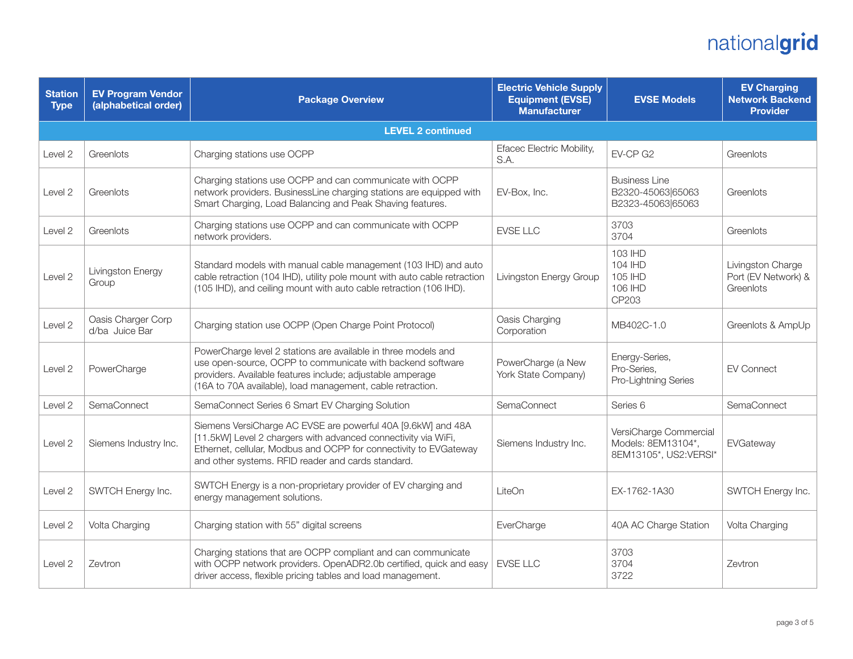| <b>Station</b><br><b>Type</b> | <b>EV Program Vendor</b><br>(alphabetical order) | <b>Package Overview</b>                                                                                                                                                                                                                                   | <b>Electric Vehicle Supply</b><br><b>Equipment (EVSE)</b><br><b>Manufacturer</b> | <b>EVSE Models</b>                                                    | <b>EV Charging</b><br><b>Network Backend</b><br><b>Provider</b> |
|-------------------------------|--------------------------------------------------|-----------------------------------------------------------------------------------------------------------------------------------------------------------------------------------------------------------------------------------------------------------|----------------------------------------------------------------------------------|-----------------------------------------------------------------------|-----------------------------------------------------------------|
|                               |                                                  | <b>LEVEL 2 continued</b>                                                                                                                                                                                                                                  |                                                                                  |                                                                       |                                                                 |
| Level 2                       | Greenlots                                        | Charging stations use OCPP                                                                                                                                                                                                                                | Efacec Electric Mobility,<br>S.A.                                                | EV-CP G2                                                              | Greenlots                                                       |
| Level 2                       | Greenlots                                        | Charging stations use OCPP and can communicate with OCPP<br>network providers. BusinessLine charging stations are equipped with<br>Smart Charging, Load Balancing and Peak Shaving features.                                                              | EV-Box, Inc.                                                                     | <b>Business Line</b><br>B2320-45063 65063<br>B2323-45063 65063        | Greenlots                                                       |
| Level 2                       | Greenlots                                        | Charging stations use OCPP and can communicate with OCPP<br>network providers.                                                                                                                                                                            | <b>EVSE LLC</b>                                                                  | 3703<br>3704                                                          | Greenlots                                                       |
| Level 2                       | Livingston Energy<br>Group                       | Standard models with manual cable management (103 IHD) and auto<br>cable retraction (104 IHD), utility pole mount with auto cable retraction<br>(105 IHD), and ceiling mount with auto cable retraction (106 IHD).                                        | Livingston Energy Group                                                          | 103 IHD<br>104 IHD<br>105 IHD<br>106 IHD<br>CP203                     | Livingston Charge<br>Port (EV Network) &<br>Greenlots           |
| Level 2                       | Oasis Charger Corp<br>d/ba Juice Bar             | Charging station use OCPP (Open Charge Point Protocol)                                                                                                                                                                                                    | Oasis Charging<br>Corporation                                                    | MB402C-1.0                                                            | Greenlots & AmpUp                                               |
| Level 2                       | PowerCharge                                      | PowerCharge level 2 stations are available in three models and<br>use open-source, OCPP to communicate with backend software<br>providers. Available features include; adjustable amperage<br>(16A to 70A available), load management, cable retraction.  | PowerCharge (a New<br>York State Company)                                        | Energy-Series,<br>Pro-Series,<br>Pro-Lightning Series                 | <b>EV Connect</b>                                               |
| Level 2                       | SemaConnect                                      | SemaConnect Series 6 Smart EV Charging Solution                                                                                                                                                                                                           | SemaConnect                                                                      | Series 6                                                              | SemaConnect                                                     |
| Level 2                       | Siemens Industry Inc.                            | Siemens VersiCharge AC EVSE are powerful 40A [9.6kW] and 48A<br>[11.5kW] Level 2 chargers with advanced connectivity via WiFi,<br>Ethernet, cellular, Modbus and OCPP for connectivity to EVGateway<br>and other systems. RFID reader and cards standard. | Siemens Industry Inc.                                                            | VersiCharge Commercial<br>Models: 8EM13104*,<br>8EM13105*, US2:VERSI* | EVGateway                                                       |
| Level 2                       | SWTCH Energy Inc.                                | SWTCH Energy is a non-proprietary provider of EV charging and<br>energy management solutions.                                                                                                                                                             | LiteOn                                                                           | EX-1762-1A30                                                          | SWTCH Energy Inc.                                               |
| Level 2                       | Volta Charging                                   | Charging station with 55" digital screens                                                                                                                                                                                                                 | EverCharge                                                                       | 40A AC Charge Station                                                 | Volta Charging                                                  |
| Level 2                       | Zevtron                                          | Charging stations that are OCPP compliant and can communicate<br>with OCPP network providers. OpenADR2.0b certified, quick and easy<br>driver access, flexible pricing tables and load management.                                                        | EVSE LLC                                                                         | 3703<br>3704<br>3722                                                  | Zevtron                                                         |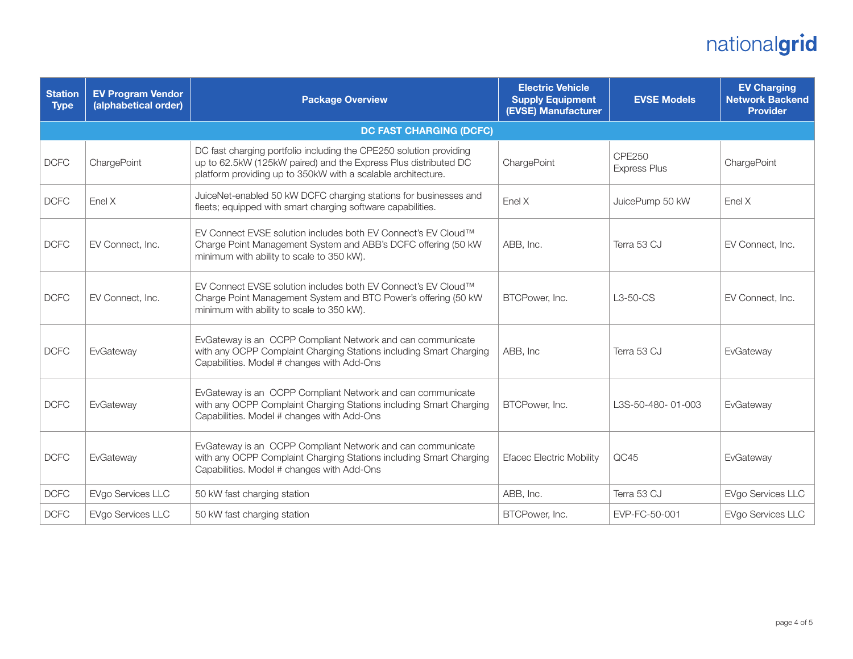| <b>Station</b><br><b>Type</b> | <b>EV Program Vendor</b><br>(alphabetical order) | <b>Package Overview</b>                                                                                                                                                                               | <b>Electric Vehicle</b><br><b>Supply Equipment</b><br>(EVSE) Manufacturer | <b>EVSE Models</b>                   | <b>EV Charging</b><br><b>Network Backend</b><br><b>Provider</b> |
|-------------------------------|--------------------------------------------------|-------------------------------------------------------------------------------------------------------------------------------------------------------------------------------------------------------|---------------------------------------------------------------------------|--------------------------------------|-----------------------------------------------------------------|
|                               |                                                  | <b>DC FAST CHARGING (DCFC)</b>                                                                                                                                                                        |                                                                           |                                      |                                                                 |
| <b>DCFC</b>                   | ChargePoint                                      | DC fast charging portfolio including the CPE250 solution providing<br>up to 62.5kW (125kW paired) and the Express Plus distributed DC<br>platform providing up to 350kW with a scalable architecture. | ChargePoint                                                               | <b>CPE250</b><br><b>Express Plus</b> | ChargePoint                                                     |
| <b>DCFC</b>                   | Enel X                                           | JuiceNet-enabled 50 kW DCFC charging stations for businesses and<br>fleets; equipped with smart charging software capabilities.                                                                       | Enel X                                                                    | JuicePump 50 kW                      | Enel X                                                          |
| <b>DCFC</b>                   | EV Connect. Inc.                                 | EV Connect EVSE solution includes both EV Connect's EV Cloud™<br>Charge Point Management System and ABB's DCFC offering (50 kW<br>minimum with ability to scale to 350 kW).                           | ABB, Inc.                                                                 | Terra 53 CJ                          | EV Connect, Inc.                                                |
| <b>DCFC</b>                   | EV Connect, Inc.                                 | EV Connect EVSE solution includes both EV Connect's EV Cloud™<br>Charge Point Management System and BTC Power's offering (50 kW<br>minimum with ability to scale to 350 kW).                          | BTCPower, Inc.                                                            | $L3-50-CS$                           | EV Connect, Inc.                                                |
| <b>DCFC</b>                   | EvGateway                                        | EvGateway is an OCPP Compliant Network and can communicate<br>with any OCPP Complaint Charging Stations including Smart Charging<br>Capabilities. Model # changes with Add-Ons                        | ABB, Inc                                                                  | Terra 53 CJ                          | EvGateway                                                       |
| <b>DCFC</b>                   | EvGateway                                        | EvGateway is an OCPP Compliant Network and can communicate<br>with any OCPP Complaint Charging Stations including Smart Charging<br>Capabilities. Model # changes with Add-Ons                        | BTCPower, Inc.                                                            | L3S-50-480-01-003                    | EvGateway                                                       |
| <b>DCFC</b>                   | EvGateway                                        | EvGateway is an OCPP Compliant Network and can communicate<br>with any OCPP Complaint Charging Stations including Smart Charging<br>Capabilities. Model # changes with Add-Ons                        | <b>Efacec Electric Mobility</b>                                           | QC45                                 | EvGateway                                                       |
| <b>DCFC</b>                   | EVgo Services LLC                                | 50 kW fast charging station                                                                                                                                                                           | ABB, Inc.                                                                 | Terra 53 CJ                          | EVgo Services LLC                                               |
| <b>DCFC</b>                   | EVgo Services LLC                                | 50 kW fast charging station                                                                                                                                                                           | BTCPower, Inc.                                                            | EVP-FC-50-001                        | EVgo Services LLC                                               |